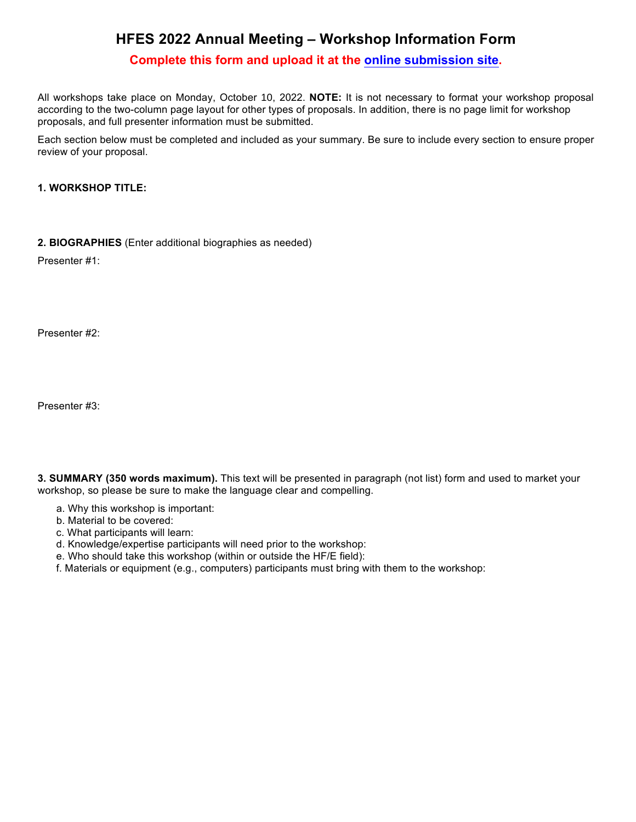# **HFES 2022 Annual Meeting – Workshop Information Form**

## **Complete this form and upload it at the [online submission site](https://submissions.mirasmart.com/HFES2019/login.aspx).**

All workshops take place on Monday, October 10, 2022. **NOTE:** It is not necessary to format your workshop proposal according to the two-column page layout for other types of proposals. In addition, there is no page limit for workshop proposals, and full presenter information must be submitted.

Each section below must be completed and included as your summary. Be sure to include every section to ensure proper review of your proposal.

#### **1. WORKSHOP TITLE:**

**2. BIOGRAPHIES** (Enter additional biographies as needed)

Presenter #1:

Presenter #2:

Presenter #3:

**3. SUMMARY (350 words maximum).** This text will be presented in paragraph (not list) form and used to market your workshop, so please be sure to make the language clear and compelling.

- a. Why this workshop is important:
- b. Material to be covered:
- c. What participants will learn:
- d. Knowledge/expertise participants will need prior to the workshop:
- e. Who should take this workshop (within or outside the HF/E field):
- f. Materials or equipment (e.g., computers) participants must bring with them to the workshop: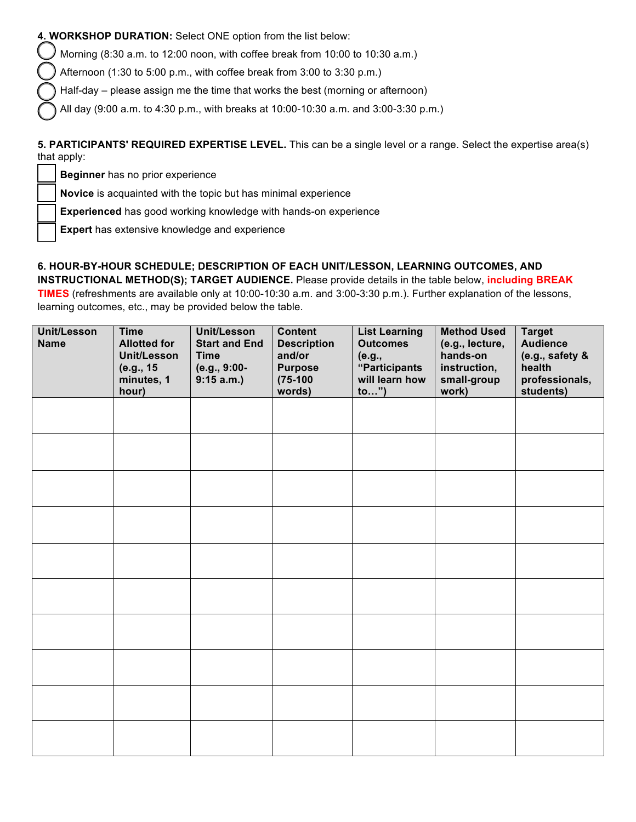### **4. WORKSHOP DURATION:** Select ONE option from the list below:

Morning (8:30 a.m. to 12:00 noon, with coffee break from 10:00 to 10:30 a.m.)

Afternoon (1:30 to 5:00 p.m., with coffee break from 3:00 to 3:30 p.m.)

Half-day – please assign me the time that works the best (morning or afternoon)

All day (9:00 a.m. to 4:30 p.m., with breaks at 10:00-10:30 a.m. and 3:00-3:30 p.m.)

#### **5. PARTICIPANTS' REQUIRED EXPERTISE LEVEL.** This can be a single level or a range. Select the expertise area(s) that apply:

**Beginner** has no prior experience

**Novice** is acquainted with the topic but has minimal experience

**Experienced** has good working knowledge with hands-on experience

**Expert** has extensive knowledge and experience

## **6. HOUR-BY-HOUR SCHEDULE; DESCRIPTION OF EACH UNIT/LESSON, LEARNING OUTCOMES, AND**

**INSTRUCTIONAL METHOD(S); TARGET AUDIENCE.** Please provide details in the table below, **including BREAK TIMES** (refreshments are available only at 10:00-10:30 a.m. and 3:00-3:30 p.m.). Further explanation of the lessons, learning outcomes, etc., may be provided below the table.

| <b>Unit/Lesson</b><br><b>Name</b> | <b>Time</b><br><b>Allotted for</b><br><b>Unit/Lesson</b><br>(e.g., 15<br>minutes, 1<br>hour) | Unit/Lesson<br><b>Start and End</b><br><b>Time</b><br>(e.g., 9:00-<br>9:15 a.m. | <b>Content</b><br><b>Description</b><br>and/or<br><b>Purpose</b><br>$(75-100)$<br>words) | <b>List Learning</b><br><b>Outcomes</b><br>(e.g.,<br>"Participants<br>will learn how<br>to") | <b>Method Used</b><br>(e.g., lecture,<br>hands-on<br>instruction,<br>small-group<br>work) | <b>Target</b><br><b>Audience</b><br>(e.g., safety &<br>health<br>professionals,<br>students) |
|-----------------------------------|----------------------------------------------------------------------------------------------|---------------------------------------------------------------------------------|------------------------------------------------------------------------------------------|----------------------------------------------------------------------------------------------|-------------------------------------------------------------------------------------------|----------------------------------------------------------------------------------------------|
|                                   |                                                                                              |                                                                                 |                                                                                          |                                                                                              |                                                                                           |                                                                                              |
|                                   |                                                                                              |                                                                                 |                                                                                          |                                                                                              |                                                                                           |                                                                                              |
|                                   |                                                                                              |                                                                                 |                                                                                          |                                                                                              |                                                                                           |                                                                                              |
|                                   |                                                                                              |                                                                                 |                                                                                          |                                                                                              |                                                                                           |                                                                                              |
|                                   |                                                                                              |                                                                                 |                                                                                          |                                                                                              |                                                                                           |                                                                                              |
|                                   |                                                                                              |                                                                                 |                                                                                          |                                                                                              |                                                                                           |                                                                                              |
|                                   |                                                                                              |                                                                                 |                                                                                          |                                                                                              |                                                                                           |                                                                                              |
|                                   |                                                                                              |                                                                                 |                                                                                          |                                                                                              |                                                                                           |                                                                                              |
|                                   |                                                                                              |                                                                                 |                                                                                          |                                                                                              |                                                                                           |                                                                                              |
|                                   |                                                                                              |                                                                                 |                                                                                          |                                                                                              |                                                                                           |                                                                                              |